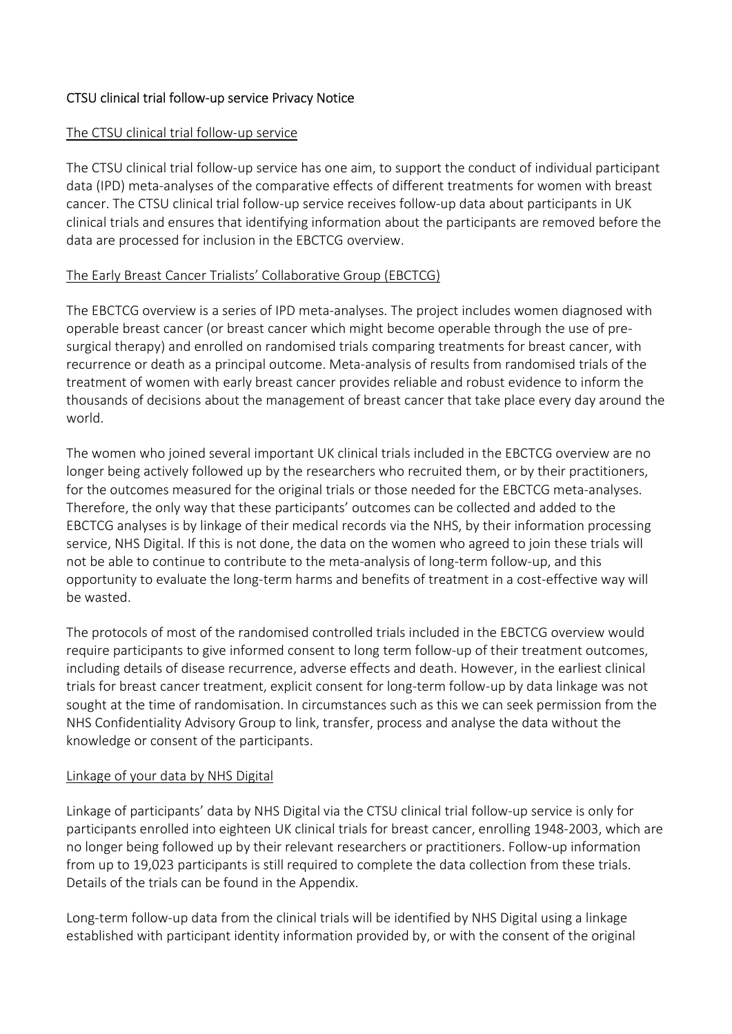## CTSU clinical trial follow-up service Privacy Notice

#### The CTSU clinical trial follow-up service

The CTSU clinical trial follow-up service has one aim, to support the conduct of individual participant data (IPD) meta-analyses of the comparative effects of different treatments for women with breast cancer. The CTSU clinical trial follow-up service receives follow-up data about participants in UK clinical trials and ensures that identifying information about the participants are removed before the data are processed for inclusion in the EBCTCG overview.

### The Early Breast Cancer Trialists' Collaborative Group (EBCTCG)

The EBCTCG overview is a series of IPD meta-analyses. The project includes women diagnosed with operable breast cancer (or breast cancer which might become operable through the use of presurgical therapy) and enrolled on randomised trials comparing treatments for breast cancer, with recurrence or death as a principal outcome. Meta-analysis of results from randomised trials of the treatment of women with early breast cancer provides reliable and robust evidence to inform the thousands of decisions about the management of breast cancer that take place every day around the world.

The women who joined several important UK clinical trials included in the EBCTCG overview are no longer being actively followed up by the researchers who recruited them, or by their practitioners, for the outcomes measured for the original trials or those needed for the EBCTCG meta-analyses. Therefore, the only way that these participants' outcomes can be collected and added to the EBCTCG analyses is by linkage of their medical records via the NHS, by their information processing service, NHS Digital. If this is not done, the data on the women who agreed to join these trials will not be able to continue to contribute to the meta-analysis of long-term follow-up, and this opportunity to evaluate the long-term harms and benefits of treatment in a cost-effective way will be wasted.

The protocols of most of the randomised controlled trials included in the EBCTCG overview would require participants to give informed consent to long term follow-up of their treatment outcomes, including details of disease recurrence, adverse effects and death. However, in the earliest clinical trials for breast cancer treatment, explicit consent for long-term follow-up by data linkage was not sought at the time of randomisation. In circumstances such as this we can seek permission from the NHS Confidentiality Advisory Group to link, transfer, process and analyse the data without the knowledge or consent of the participants.

### Linkage of your data by NHS Digital

Linkage of participants' data by NHS Digital via the CTSU clinical trial follow-up service is only for participants enrolled into eighteen UK clinical trials for breast cancer, enrolling 1948-2003, which are no longer being followed up by their relevant researchers or practitioners. Follow-up information from up to 19,023 participants is still required to complete the data collection from these trials. Details of the trials can be found in the Appendix.

Long-term follow-up data from the clinical trials will be identified by NHS Digital using a linkage established with participant identity information provided by, or with the consent of the original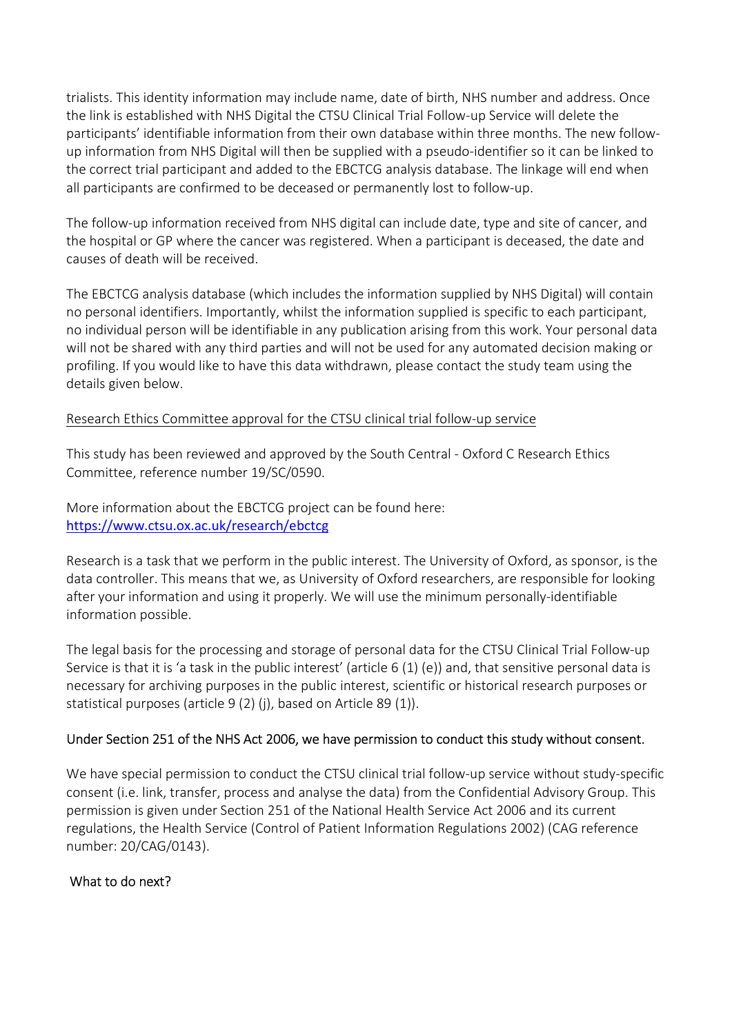trialists. This identity information may include name, date of birth, NHS number and address. Once the link is established with NHS Digital the CTSU Clinical Trial Follow-up Service will delete the participants' identifiable information from their own database within three months. The new followup information from NHS Digital will then be supplied with a pseudo-identifier so it can be linked to the correct trial participant and added to the EBCTCG analysis database. The linkage will end when all participants are confirmed to be deceased or permanently lost to follow-up.

The follow-up information received from NHS digital can include date, type and site of cancer, and the hospital or GP where the cancer was registered. When a participant is deceased, the date and causes of death will be received.

The EBCTCG analysis database (which includes the information supplied by NHS Digital) will contain no personal identifiers. Importantly, whilst the information supplied is specific to each participant, no individual person will be identifiable in any publication arising from this work. Your personal data will not be shared with any third parties and will not be used for any automated decision making or profiling. If you would like to have this data withdrawn, please contact the study team using the details given below.

### Research Ethics Committee approval for the CTSU clinical trial follow-up service

This study has been reviewed and approved by the South Central - Oxford C Research Ethics Committee, reference number 19/SC/0590.

More information about the EBCTCG project can be found here: https://www.ctsu.ox.ac.uk/research/ebctcg

Research is a task that we perform in the public interest. The University of Oxford, as sponsor, is the data controller. This means that we, as University of Oxford researchers, are responsible for looking after your information and using it properly. We will use the minimum personally-identifiable information possible.

The legal basis for the processing and storage of personal data for the CTSU Clinical Trial Follow-up Service is that it is 'a task in the public interest' (article 6 (1) (e)) and, that sensitive personal data is necessary for archiving purposes in the public interest, scientific or historical research purposes or statistical purposes (article 9 (2) (j), based on Article 89 (1)).

### Under Section 251 of the NHS Act 2006, we have permission to conduct this study without consent.

We have special permission to conduct the CTSU clinical trial follow-up service without study-specific consent (i.e. link, transfer, process and analyse the data) from the Confidential Advisory Group. This permission is given under Section 251 of the National Health Service Act 2006 and its current regulations, the Health Service (Control of Patient Information Regulations 2002) (CAG reference number: 20/CAG/0143).

# What to do next?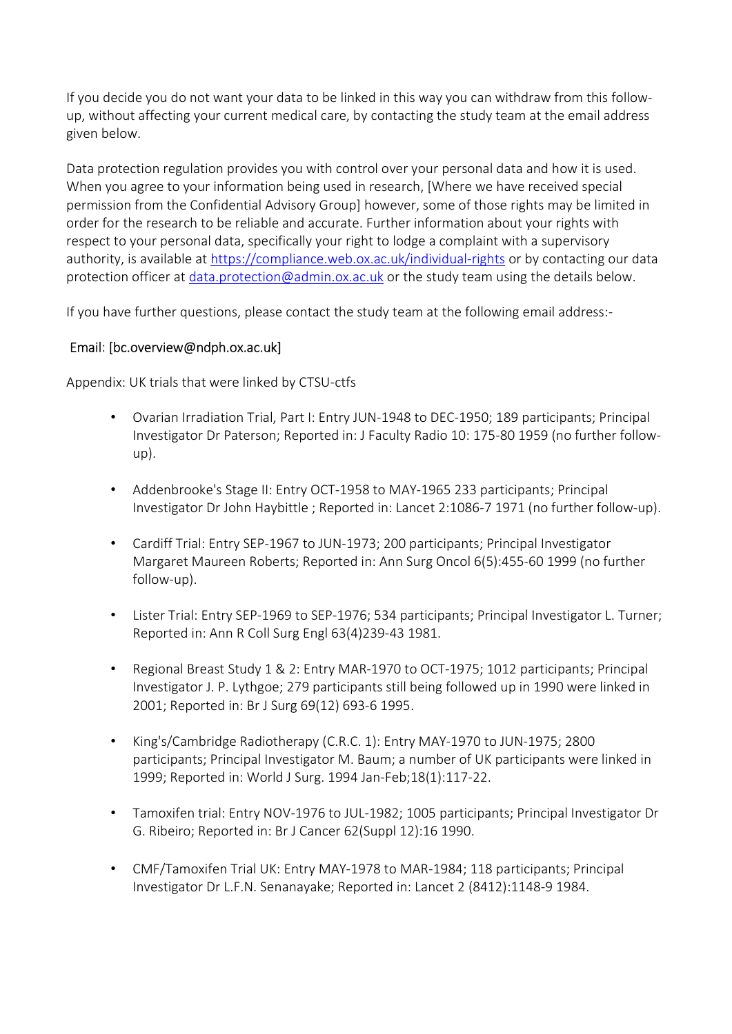If you decide you do not want your data to be linked in this way you can withdraw from this followup, without affecting your current medical care, by contacting the study team at the email address given below.

Data protection regulation provides you with control over your personal data and how it is used. When you agree to your information being used in research, [Where we have received special permission from the Confidential Advisory Group] however, some of those rights may be limited in order for the research to be reliable and accurate. Further information about your rights with respect to your personal data, specifically your right to lodge a complaint with a supervisory authority, is available at https://compliance.web.ox.ac.uk/individual-rights or by contacting our data protection officer at data.protection@admin.ox.ac.uk or the study team using the details below.

If you have further questions, please contact the study team at the following email address:-

## Email: [bc.overview@ndph.ox.ac.uk]

Appendix: UK trials that were linked by CTSU-ctfs

- Ovarian Irradiation Trial, Part I: Entry JUN-1948 to DEC-1950; 189 participants; Principal Investigator Dr Paterson; Reported in: J Faculty Radio 10: 175-80 1959 (no further followup).
- Addenbrooke's Stage II: Entry OCT-1958 to MAY-1965 233 participants; Principal Investigator Dr John Haybittle ; Reported in: Lancet 2:1086-7 1971 (no further follow-up).
- Cardiff Trial: Entry SEP-1967 to JUN-1973; 200 participants; Principal Investigator Margaret Maureen Roberts; Reported in: Ann Surg Oncol 6(5):455-60 1999 (no further follow-up).
- Lister Trial: Entry SEP-1969 to SEP-1976; 534 participants; Principal Investigator L. Turner; Reported in: Ann R Coll Surg Engl 63(4)239-43 1981.
- Regional Breast Study 1 & 2: Entry MAR-1970 to OCT-1975; 1012 participants; Principal Investigator J. P. Lythgoe; 279 participants still being followed up in 1990 were linked in 2001; Reported in: Br J Surg 69(12) 693-6 1995.
- King's/Cambridge Radiotherapy (C.R.C. 1): Entry MAY-1970 to JUN-1975; 2800 participants; Principal Investigator M. Baum; a number of UK participants were linked in 1999; Reported in: World J Surg. 1994 Jan-Feb;18(1):117-22.
- Tamoxifen trial: Entry NOV-1976 to JUL-1982; 1005 participants; Principal Investigator Dr G. Ribeiro; Reported in: Br J Cancer 62(Suppl 12):16 1990.
- CMF/Tamoxifen Trial UK: Entry MAY-1978 to MAR-1984; 118 participants; Principal Investigator Dr L.F.N. Senanayake; Reported in: Lancet 2 (8412):1148-9 1984.